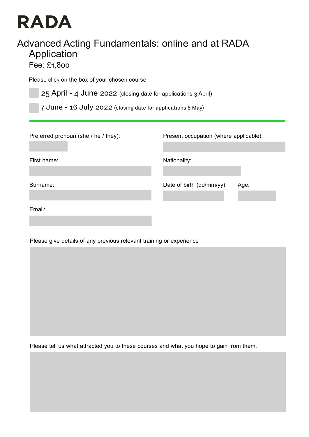## **RADA**

## Advanced Acting Fundamentals: online and at RADA Application

Fee: £1,800

Please click on the box of your chosen course

25 April - 4 June 2022 (closing date for applications 3 April)

7 June - 16 July 2022 (closing date for applications 8 May)

First name:

Surname:

Email:

Present occupation (where applicable):

Nationality:

Date of birth (dd/mm/yy): Age:

Please give details of any previous relevant training or experience

Please tell us what attracted you to these courses and what you hope to gain from them.